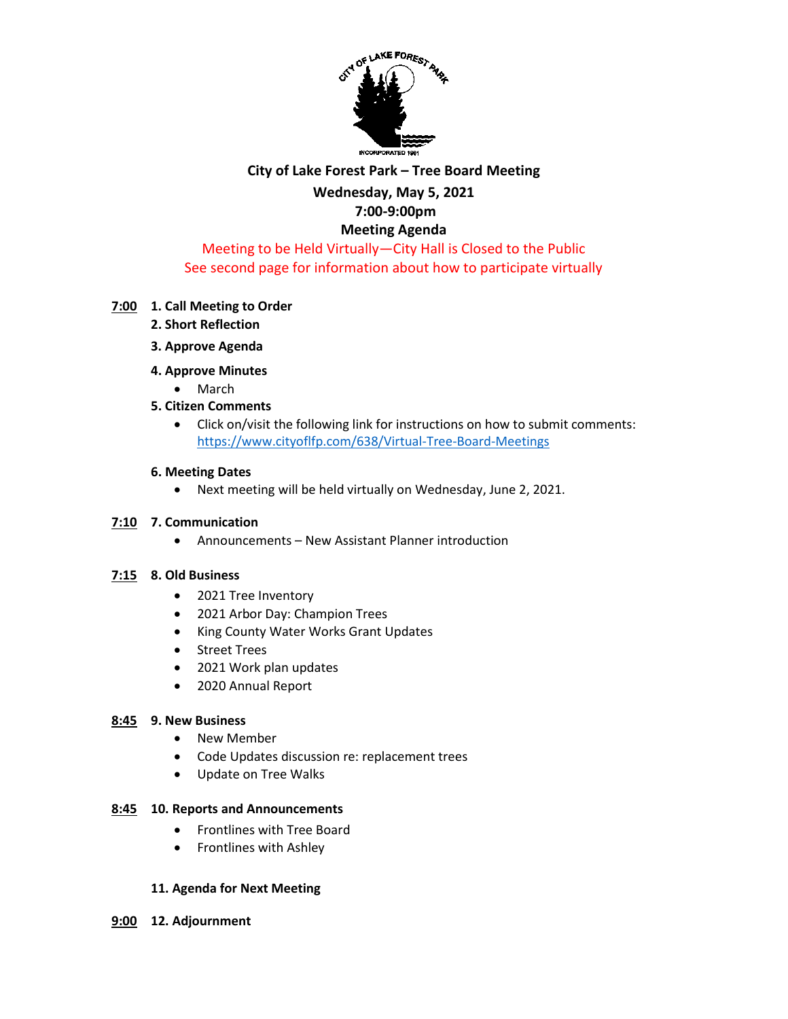

#### **City of Lake Forest Park – Tree Board Meeting**

# **Wednesday, May 5, 2021**

# **7:00-9:00pm**

## **Meeting Agenda** Meeting to be Held Virtually—City Hall is Closed to the Public See second page for information about how to participate virtually

## **7:00 1. Call Meeting to Order**

- **2. Short Reflection**
- **3. Approve Agenda**
- **4. Approve Minutes** 
	- March
- **5. Citizen Comments**
	- Click on/visit the following link for instructions on how to submit comments: <https://www.cityoflfp.com/638/Virtual-Tree-Board-Meetings>

#### **6. Meeting Dates**

• Next meeting will be held virtually on Wednesday, June 2, 2021.

#### **7:10 7. Communication**

• Announcements – New Assistant Planner introduction

#### **7:15 8. Old Business**

- 2021 Tree Inventory
- 2021 Arbor Day: Champion Trees
- King County Water Works Grant Updates
- Street Trees
- 2021 Work plan updates
- 2020 Annual Report

#### **8:45 9. New Business**

- New Member
- Code Updates discussion re: replacement trees
- Update on Tree Walks

#### **8:45 10. Reports and Announcements**

- Frontlines with Tree Board
- Frontlines with Ashley

#### **11. Agenda for Next Meeting**

**9:00 12. Adjournment**